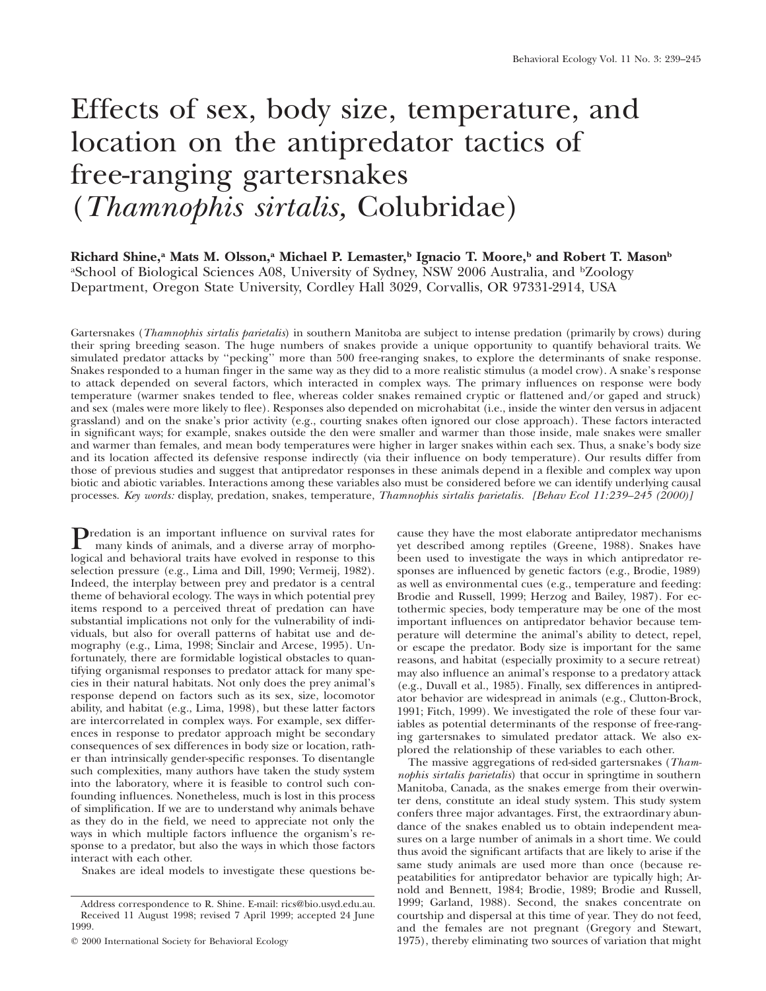# Effects of sex, body size, temperature, and location on the antipredator tactics of free-ranging gartersnakes (*Thamnophis sirtalis,* Colubridae)

**Richard Shine,a Mats M. Olsson,a Michael P. Lemaster,b Ignacio T. Moore,b and Robert T. Masonb** <sup>a</sup>School of Biological Sciences A08, University of Sydney, NSW 2006 Australia, and <sup>b</sup>Zoology Department, Oregon State University, Cordley Hall 3029, Corvallis, OR 97331-2914, USA

Gartersnakes (*Thamnophis sirtalis parietalis*) in southern Manitoba are subject to intense predation (primarily by crows) during their spring breeding season. The huge numbers of snakes provide a unique opportunity to quantify behavioral traits. We simulated predator attacks by ''pecking'' more than 500 free-ranging snakes, to explore the determinants of snake response. Snakes responded to a human finger in the same way as they did to a more realistic stimulus (a model crow). A snake's response to attack depended on several factors, which interacted in complex ways. The primary influences on response were body temperature (warmer snakes tended to flee, whereas colder snakes remained cryptic or flattened and/or gaped and struck) and sex (males were more likely to flee). Responses also depended on microhabitat (i.e., inside the winter den versus in adjacent grassland) and on the snake's prior activity (e.g., courting snakes often ignored our close approach). These factors interacted in significant ways; for example, snakes outside the den were smaller and warmer than those inside, male snakes were smaller and warmer than females, and mean body temperatures were higher in larger snakes within each sex. Thus, a snake's body size and its location affected its defensive response indirectly (via their influence on body temperature). Our results differ from those of previous studies and suggest that antipredator responses in these animals depend in a flexible and complex way upon biotic and abiotic variables. Interactions among these variables also must be considered before we can identify underlying causal processes. *Key words:* display, predation, snakes, temperature, *Thamnophis sirtalis parietalis. [Behav Ecol 11:239–245 (2000)]*

Predation is an important influence on survival rates for<br>many kinds of animal many kinds of animals, and a diverse array of morphological and behavioral traits have evolved in response to this selection pressure (e.g., Lima and Dill, 1990; Vermeij, 1982). Indeed, the interplay between prey and predator is a central theme of behavioral ecology. The ways in which potential prey items respond to a perceived threat of predation can have substantial implications not only for the vulnerability of individuals, but also for overall patterns of habitat use and demography (e.g., Lima, 1998; Sinclair and Arcese, 1995). Unfortunately, there are formidable logistical obstacles to quantifying organismal responses to predator attack for many species in their natural habitats. Not only does the prey animal's response depend on factors such as its sex, size, locomotor ability, and habitat (e.g., Lima, 1998), but these latter factors are intercorrelated in complex ways. For example, sex differences in response to predator approach might be secondary consequences of sex differences in body size or location, rather than intrinsically gender-specific responses. To disentangle such complexities, many authors have taken the study system into the laboratory, where it is feasible to control such confounding influences. Nonetheless, much is lost in this process of simplification. If we are to understand why animals behave as they do in the field, we need to appreciate not only the ways in which multiple factors influence the organism's response to a predator, but also the ways in which those factors interact with each other.

Snakes are ideal models to investigate these questions be-

cause they have the most elaborate antipredator mechanisms yet described among reptiles (Greene, 1988). Snakes have been used to investigate the ways in which antipredator responses are influenced by genetic factors (e.g., Brodie, 1989) as well as environmental cues (e.g., temperature and feeding: Brodie and Russell, 1999; Herzog and Bailey, 1987). For ectothermic species, body temperature may be one of the most important influences on antipredator behavior because temperature will determine the animal's ability to detect, repel, or escape the predator. Body size is important for the same reasons, and habitat (especially proximity to a secure retreat) may also influence an animal's response to a predatory attack (e.g., Duvall et al., 1985). Finally, sex differences in antipredator behavior are widespread in animals (e.g., Clutton-Brock, 1991; Fitch, 1999). We investigated the role of these four variables as potential determinants of the response of free-ranging gartersnakes to simulated predator attack. We also explored the relationship of these variables to each other.

The massive aggregations of red-sided gartersnakes (*Thamnophis sirtalis parietalis*) that occur in springtime in southern Manitoba, Canada, as the snakes emerge from their overwinter dens, constitute an ideal study system. This study system confers three major advantages. First, the extraordinary abundance of the snakes enabled us to obtain independent measures on a large number of animals in a short time. We could thus avoid the significant artifacts that are likely to arise if the same study animals are used more than once (because repeatabilities for antipredator behavior are typically high; Arnold and Bennett, 1984; Brodie, 1989; Brodie and Russell, 1999; Garland, 1988). Second, the snakes concentrate on courtship and dispersal at this time of year. They do not feed, and the females are not pregnant (Gregory and Stewart, 1975), thereby eliminating two sources of variation that might

Address correspondence to R. Shine. E-mail: rics@bio.usyd.edu.au. Received 11 August 1998; revised 7 April 1999; accepted 24 June 1999.

2000 International Society for Behavioral Ecology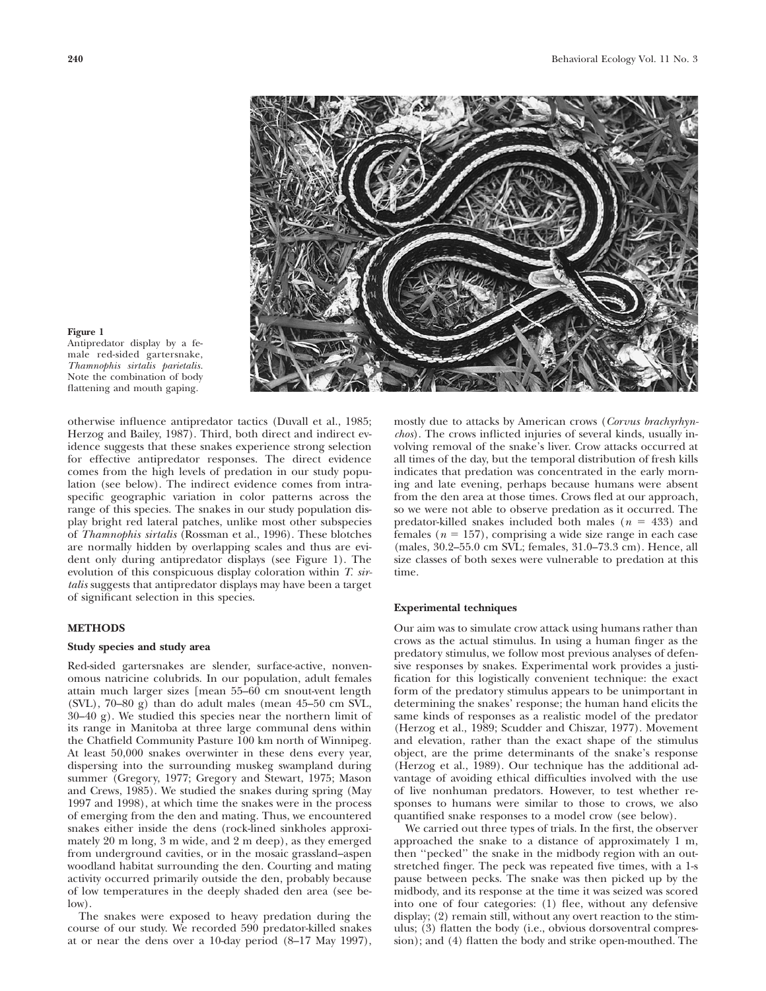

#### **Figure 1**

Antipredator display by a female red-sided gartersnake, *Thamnophis sirtalis parietalis.* Note the combination of body flattening and mouth gaping.

otherwise influence antipredator tactics (Duvall et al., 1985; Herzog and Bailey, 1987). Third, both direct and indirect evidence suggests that these snakes experience strong selection for effective antipredator responses. The direct evidence comes from the high levels of predation in our study population (see below). The indirect evidence comes from intraspecific geographic variation in color patterns across the range of this species. The snakes in our study population display bright red lateral patches, unlike most other subspecies of *Thamnophis sirtalis* (Rossman et al., 1996). These blotches are normally hidden by overlapping scales and thus are evident only during antipredator displays (see Figure 1). The evolution of this conspicuous display coloration within *T. sirtalis* suggests that antipredator displays may have been a target of significant selection in this species.

## **METHODS**

# **Study species and study area**

Red-sided gartersnakes are slender, surface-active, nonvenomous natricine colubrids. In our population, adult females attain much larger sizes [mean 55–60 cm snout-vent length (SVL), 70–80 g) than do adult males (mean 45–50 cm SVL, 30–40 g). We studied this species near the northern limit of its range in Manitoba at three large communal dens within the Chatfield Community Pasture 100 km north of Winnipeg. At least 50,000 snakes overwinter in these dens every year, dispersing into the surrounding muskeg swampland during summer (Gregory, 1977; Gregory and Stewart, 1975; Mason and Crews, 1985). We studied the snakes during spring (May 1997 and 1998), at which time the snakes were in the process of emerging from the den and mating. Thus, we encountered snakes either inside the dens (rock-lined sinkholes approximately 20 m long, 3 m wide, and 2 m deep), as they emerged from underground cavities, or in the mosaic grassland–aspen woodland habitat surrounding the den. Courting and mating activity occurred primarily outside the den, probably because of low temperatures in the deeply shaded den area (see below).

The snakes were exposed to heavy predation during the course of our study. We recorded 590 predator-killed snakes at or near the dens over a 10-day period (8–17 May 1997), mostly due to attacks by American crows (*Corvus brachyrhynchos*). The crows inflicted injuries of several kinds, usually involving removal of the snake's liver. Crow attacks occurred at all times of the day, but the temporal distribution of fresh kills indicates that predation was concentrated in the early morning and late evening, perhaps because humans were absent from the den area at those times. Crows fled at our approach, so we were not able to observe predation as it occurred. The predator-killed snakes included both males  $(n = 433)$  and females  $(n = 157)$ , comprising a wide size range in each case (males, 30.2–55.0 cm SVL; females, 31.0–73.3 cm). Hence, all size classes of both sexes were vulnerable to predation at this time.

#### **Experimental techniques**

Our aim was to simulate crow attack using humans rather than crows as the actual stimulus. In using a human finger as the predatory stimulus, we follow most previous analyses of defensive responses by snakes. Experimental work provides a justification for this logistically convenient technique: the exact form of the predatory stimulus appears to be unimportant in determining the snakes' response; the human hand elicits the same kinds of responses as a realistic model of the predator (Herzog et al., 1989; Scudder and Chiszar, 1977). Movement and elevation, rather than the exact shape of the stimulus object, are the prime determinants of the snake's response (Herzog et al., 1989). Our technique has the additional advantage of avoiding ethical difficulties involved with the use of live nonhuman predators. However, to test whether responses to humans were similar to those to crows, we also quantified snake responses to a model crow (see below).

We carried out three types of trials. In the first, the observer approached the snake to a distance of approximately 1 m, then ''pecked'' the snake in the midbody region with an outstretched finger. The peck was repeated five times, with a 1-s pause between pecks. The snake was then picked up by the midbody, and its response at the time it was seized was scored into one of four categories: (1) flee, without any defensive display; (2) remain still, without any overt reaction to the stimulus; (3) flatten the body (i.e., obvious dorsoventral compression); and (4) flatten the body and strike open-mouthed. The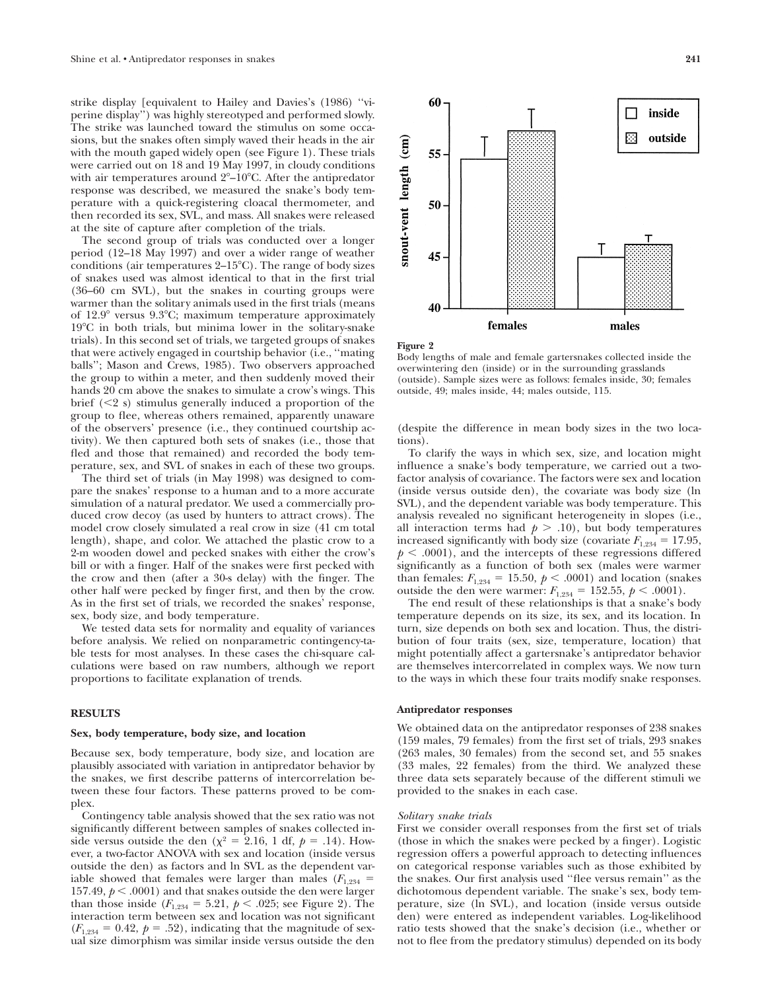strike display [equivalent to Hailey and Davies's (1986) ''viperine display'') was highly stereotyped and performed slowly. The strike was launched toward the stimulus on some occasions, but the snakes often simply waved their heads in the air with the mouth gaped widely open (see Figure 1). These trials were carried out on 18 and 19 May 1997, in cloudy conditions with air temperatures around 2°–10°C. After the antipredator response was described, we measured the snake's body temperature with a quick-registering cloacal thermometer, and then recorded its sex, SVL, and mass. All snakes were released at the site of capture after completion of the trials.

The second group of trials was conducted over a longer period (12–18 May 1997) and over a wider range of weather conditions (air temperatures 2-15°C). The range of body sizes of snakes used was almost identical to that in the first trial (36–60 cm SVL), but the snakes in courting groups were warmer than the solitary animals used in the first trials (means of 12.9° versus 9.3°C; maximum temperature approximately 19°C in both trials, but minima lower in the solitary-snake trials). In this second set of trials, we targeted groups of snakes that were actively engaged in courtship behavior (i.e., ''mating balls''; Mason and Crews, 1985). Two observers approached the group to within a meter, and then suddenly moved their hands 20 cm above the snakes to simulate a crow's wings. This brief  $(< 2 s)$  stimulus generally induced a proportion of the group to flee, whereas others remained, apparently unaware of the observers' presence (i.e., they continued courtship activity). We then captured both sets of snakes (i.e., those that fled and those that remained) and recorded the body temperature, sex, and SVL of snakes in each of these two groups.

The third set of trials (in May 1998) was designed to compare the snakes' response to a human and to a more accurate simulation of a natural predator. We used a commercially produced crow decoy (as used by hunters to attract crows). The model crow closely simulated a real crow in size (41 cm total length), shape, and color. We attached the plastic crow to a 2-m wooden dowel and pecked snakes with either the crow's bill or with a finger. Half of the snakes were first pecked with the crow and then (after a 30-s delay) with the finger. The other half were pecked by finger first, and then by the crow. As in the first set of trials, we recorded the snakes' response, sex, body size, and body temperature.

We tested data sets for normality and equality of variances before analysis. We relied on nonparametric contingency-table tests for most analyses. In these cases the chi-square calculations were based on raw numbers, although we report proportions to facilitate explanation of trends.

# **RESULTS**

#### **Sex, body temperature, body size, and location**

Because sex, body temperature, body size, and location are plausibly associated with variation in antipredator behavior by the snakes, we first describe patterns of intercorrelation between these four factors. These patterns proved to be complex.

Contingency table analysis showed that the sex ratio was not significantly different between samples of snakes collected inside versus outside the den ( $\chi^2$  = 2.16, 1 df,  $p$  = .14). However, a two-factor ANOVA with sex and location (inside versus outside the den) as factors and ln SVL as the dependent variable showed that females were larger than males  $(F_{1,234} =$ 157.49,  $p < .0001$ ) and that snakes outside the den were larger than those inside  $(F_{1,234} = 5.21, p < .025;$  see Figure 2). The interaction term between sex and location was not significant  $(F_{1,234} = 0.42, p = .52)$ , indicating that the magnitude of sexual size dimorphism was similar inside versus outside the den



**Figure 2**

Body lengths of male and female gartersnakes collected inside the overwintering den (inside) or in the surrounding grasslands (outside). Sample sizes were as follows: females inside, 30; females outside, 49; males inside, 44; males outside, 115.

(despite the difference in mean body sizes in the two locations).

To clarify the ways in which sex, size, and location might influence a snake's body temperature, we carried out a twofactor analysis of covariance. The factors were sex and location (inside versus outside den), the covariate was body size (ln SVL), and the dependent variable was body temperature. This analysis revealed no significant heterogeneity in slopes (i.e., all interaction terms had  $p > .10$ ), but body temperatures increased significantly with body size (covariate  $F_{1,234} = 17.95$ ,  $p \leq .0001$ , and the intercepts of these regressions differed significantly as a function of both sex (males were warmer than females:  $F_{1,234} = 15.50, p \lt .0001$ ) and location (snakes outside the den were warmer:  $F_{1,234} = 152.55, p \lt .0001$ .

The end result of these relationships is that a snake's body temperature depends on its size, its sex, and its location. In turn, size depends on both sex and location. Thus, the distribution of four traits (sex, size, temperature, location) that might potentially affect a gartersnake's antipredator behavior are themselves intercorrelated in complex ways. We now turn to the ways in which these four traits modify snake responses.

# **Antipredator responses**

We obtained data on the antipredator responses of 238 snakes (159 males, 79 females) from the first set of trials, 293 snakes (263 males, 30 females) from the second set, and 55 snakes (33 males, 22 females) from the third. We analyzed these three data sets separately because of the different stimuli we provided to the snakes in each case.

#### *Solitary snake trials*

First we consider overall responses from the first set of trials (those in which the snakes were pecked by a finger). Logistic regression offers a powerful approach to detecting influences on categorical response variables such as those exhibited by the snakes. Our first analysis used ''flee versus remain'' as the dichotomous dependent variable. The snake's sex, body temperature, size (ln SVL), and location (inside versus outside den) were entered as independent variables. Log-likelihood ratio tests showed that the snake's decision (i.e., whether or not to flee from the predatory stimulus) depended on its body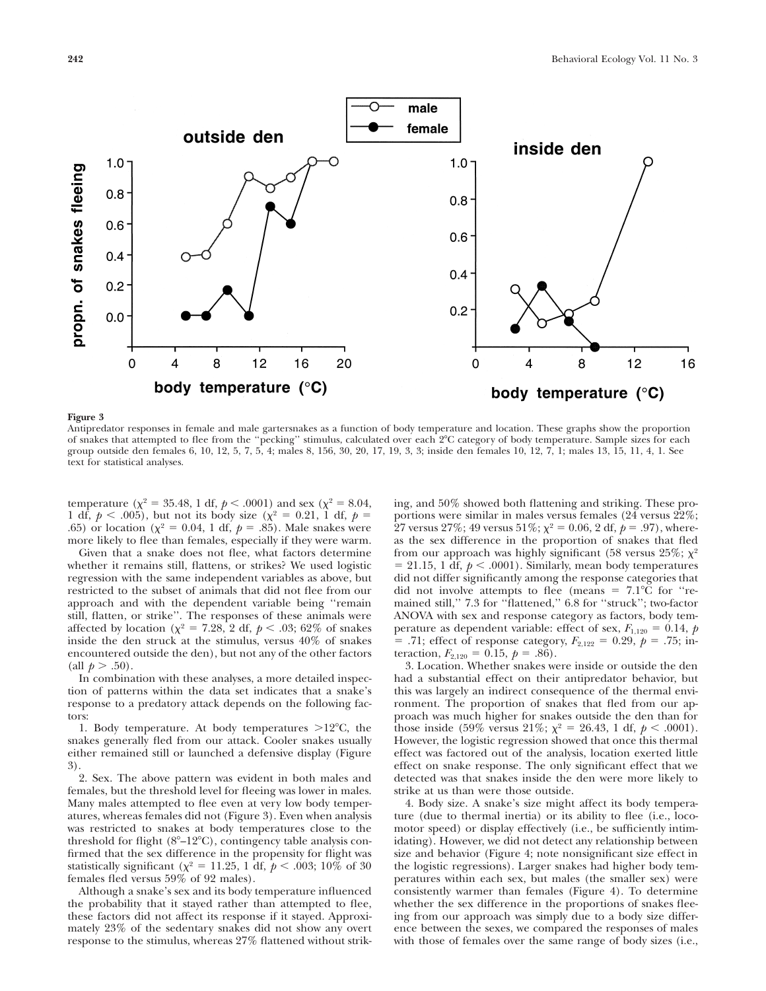

## **Figure 3**

Antipredator responses in female and male gartersnakes as a function of body temperature and location. These graphs show the proportion of snakes that attempted to flee from the ''pecking'' stimulus, calculated over each 2-C category of body temperature. Sample sizes for each group outside den females 6, 10, 12, 5, 7, 5, 4; males 8, 156, 30, 20, 17, 19, 3, 3; inside den females 10, 12, 7, 1; males 13, 15, 11, 4, 1. See text for statistical analyses.

temperature ( $\chi^2$  = 35.48, 1 df,  $p$  < .0001) and sex ( $\chi^2$  = 8.04, 1 df,  $p < .005$ ), but not its body size ( $\chi^2 = 0.21$ , 1 df,  $p =$ .65) or location ( $\chi^2 = 0.04$ , 1 df,  $p = .85$ ). Male snakes were more likely to flee than females, especially if they were warm.

Given that a snake does not flee, what factors determine whether it remains still, flattens, or strikes? We used logistic regression with the same independent variables as above, but restricted to the subset of animals that did not flee from our approach and with the dependent variable being ''remain still, flatten, or strike''. The responses of these animals were affected by location ( $\chi^2$  = 7.28, 2 df,  $p < .03$ ; 62% of snakes inside the den struck at the stimulus, versus 40% of snakes encountered outside the den), but not any of the other factors (all  $p > .50$ ).

In combination with these analyses, a more detailed inspection of patterns within the data set indicates that a snake's response to a predatory attack depends on the following factors:

1. Body temperature. At body temperatures  $>12^{\circ}$ C, the snakes generally fled from our attack. Cooler snakes usually either remained still or launched a defensive display (Figure 3).

2. Sex. The above pattern was evident in both males and females, but the threshold level for fleeing was lower in males. Many males attempted to flee even at very low body temperatures, whereas females did not (Figure 3). Even when analysis was restricted to snakes at body temperatures close to the threshold for flight (8°-12°C), contingency table analysis confirmed that the sex difference in the propensity for flight was statistically significant ( $\chi^2$  = 11.25, 1 df,  $p$  < .003; 10% of 30 females fled versus 59% of 92 males).

Although a snake's sex and its body temperature influenced the probability that it stayed rather than attempted to flee, these factors did not affect its response if it stayed. Approximately 23% of the sedentary snakes did not show any overt response to the stimulus, whereas 27% flattened without striking, and 50% showed both flattening and striking. These proportions were similar in males versus females (24 versus 22%; 27 versus 27%; 49 versus 51%;  $\chi^2 = 0.06$ , 2 df,  $p = .97$ ), whereas the sex difference in the proportion of snakes that fled from our approach was highly significant (58 versus 25%;  $\chi^2$ )  $= 21.15, 1$  df,  $p < .0001$ ). Similarly, mean body temperatures did not differ significantly among the response categories that did not involve attempts to flee (means  $= 7.1^{\circ}$ C for "remained still,'' 7.3 for ''flattened,'' 6.8 for ''struck''; two-factor ANOVA with sex and response category as factors, body temperature as dependent variable: effect of sex,  $F_{1,120} = 0.14$ , *p*  $=$  .71; effect of response category,  $F_{2,122} = 0.29$ ,  $p = .75$ ; interaction,  $F_{2,120} = 0.15$ ,  $p = .86$ ).

3. Location. Whether snakes were inside or outside the den had a substantial effect on their antipredator behavior, but this was largely an indirect consequence of the thermal environment. The proportion of snakes that fled from our approach was much higher for snakes outside the den than for those inside (59% versus 21%;  $\chi^2 = 26.43$ , 1 df,  $p < .0001$ ). However, the logistic regression showed that once this thermal effect was factored out of the analysis, location exerted little effect on snake response. The only significant effect that we detected was that snakes inside the den were more likely to strike at us than were those outside.

4. Body size. A snake's size might affect its body temperature (due to thermal inertia) or its ability to flee (i.e., locomotor speed) or display effectively (i.e., be sufficiently intimidating). However, we did not detect any relationship between size and behavior (Figure 4; note nonsignificant size effect in the logistic regressions). Larger snakes had higher body temperatures within each sex, but males (the smaller sex) were consistently warmer than females (Figure 4). To determine whether the sex difference in the proportions of snakes fleeing from our approach was simply due to a body size difference between the sexes, we compared the responses of males with those of females over the same range of body sizes (i.e.,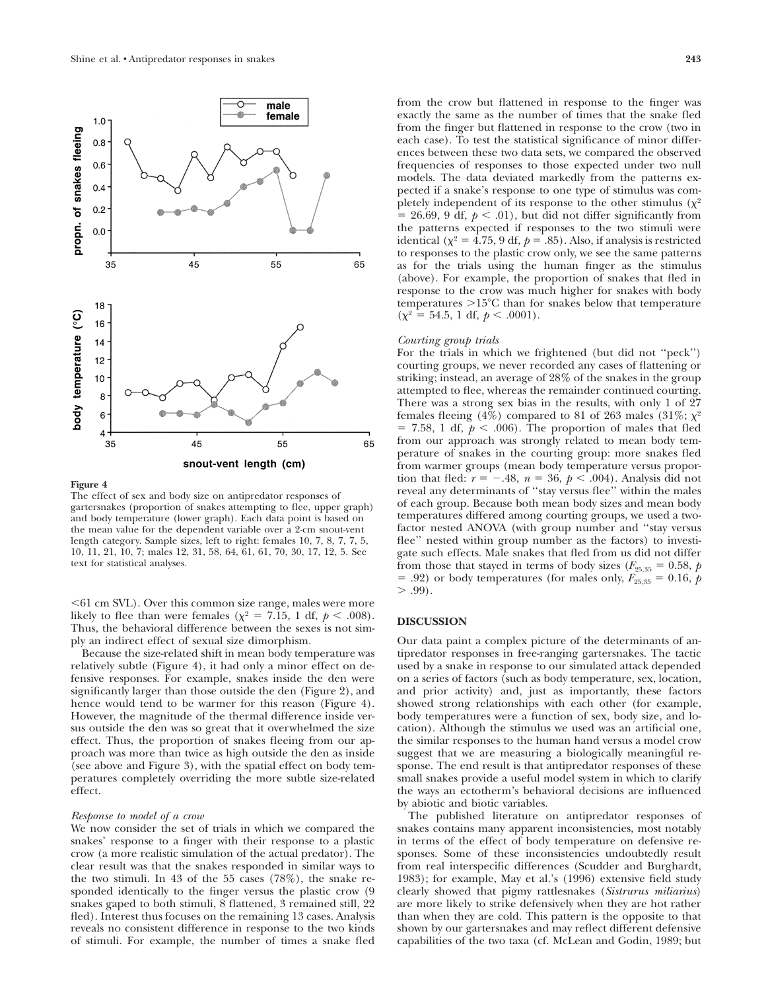

#### **Figure 4**

The effect of sex and body size on antipredator responses of gartersnakes (proportion of snakes attempting to flee, upper graph) and body temperature (lower graph). Each data point is based on the mean value for the dependent variable over a 2-cm snout-vent length category. Sample sizes, left to right: females 10, 7, 8, 7, 7, 5, 10, 11, 21, 10, 7; males 12, 31, 58, 64, 61, 61, 70, 30, 17, 12, 5. See text for statistical analyses.

61 cm SVL). Over this common size range, males were more likely to flee than were females ( $\chi^2$  = 7.15, 1 df,  $p$  < .008). Thus, the behavioral difference between the sexes is not simply an indirect effect of sexual size dimorphism.

Because the size-related shift in mean body temperature was relatively subtle (Figure 4), it had only a minor effect on defensive responses. For example, snakes inside the den were significantly larger than those outside the den (Figure 2), and hence would tend to be warmer for this reason (Figure 4). However, the magnitude of the thermal difference inside versus outside the den was so great that it overwhelmed the size effect. Thus, the proportion of snakes fleeing from our approach was more than twice as high outside the den as inside (see above and Figure 3), with the spatial effect on body temperatures completely overriding the more subtle size-related effect.

#### *Response to model of a crow*

We now consider the set of trials in which we compared the snakes' response to a finger with their response to a plastic crow (a more realistic simulation of the actual predator). The clear result was that the snakes responded in similar ways to the two stimuli. In 43 of the 55 cases (78%), the snake responded identically to the finger versus the plastic crow (9 snakes gaped to both stimuli, 8 flattened, 3 remained still, 22 fled). Interest thus focuses on the remaining 13 cases. Analysis reveals no consistent difference in response to the two kinds of stimuli. For example, the number of times a snake fled from the crow but flattened in response to the finger was exactly the same as the number of times that the snake fled from the finger but flattened in response to the crow (two in each case). To test the statistical significance of minor differences between these two data sets, we compared the observed frequencies of responses to those expected under two null models. The data deviated markedly from the patterns expected if a snake's response to one type of stimulus was completely independent of its response to the other stimulus  $(\chi^2)$  $= 26.69, 9$  df,  $p < .01$ ), but did not differ significantly from the patterns expected if responses to the two stimuli were identical ( $\chi^2 = 4.75$ , 9 df,  $p = .85$ ). Also, if analysis is restricted to responses to the plastic crow only, we see the same patterns as for the trials using the human finger as the stimulus (above). For example, the proportion of snakes that fled in response to the crow was much higher for snakes with body temperatures >15°C than for snakes below that temperature  $(\chi^2 = 54.5, 1 \text{ df}, p < .0001).$ 

#### *Courting group trials*

For the trials in which we frightened (but did not ''peck'') courting groups, we never recorded any cases of flattening or striking; instead, an average of 28% of the snakes in the group attempted to flee, whereas the remainder continued courting. There was a strong sex bias in the results, with only 1 of 27 females fleeing (4%) compared to 81 of 263 males (31%;  $\chi^2$ )  $= 7.58$ , 1 df,  $p < .006$ ). The proportion of males that fled from our approach was strongly related to mean body temperature of snakes in the courting group: more snakes fled from warmer groups (mean body temperature versus proportion that fled:  $r = -.48$ ,  $n = 36$ ,  $p < .004$ ). Analysis did not reveal any determinants of ''stay versus flee'' within the males of each group. Because both mean body sizes and mean body temperatures differed among courting groups, we used a twofactor nested ANOVA (with group number and ''stay versus flee'' nested within group number as the factors) to investigate such effects. Male snakes that fled from us did not differ from those that stayed in terms of body sizes ( $F_{25,35} = 0.58$ , *p*  $= .92$ ) or body temperatures (for males only,  $F_{25,35} = 0.16$ ,  $\dot{p}$  $> .99$ ).

## **DISCUSSION**

Our data paint a complex picture of the determinants of antipredator responses in free-ranging gartersnakes. The tactic used by a snake in response to our simulated attack depended on a series of factors (such as body temperature, sex, location, and prior activity) and, just as importantly, these factors showed strong relationships with each other (for example, body temperatures were a function of sex, body size, and location). Although the stimulus we used was an artificial one, the similar responses to the human hand versus a model crow suggest that we are measuring a biologically meaningful response. The end result is that antipredator responses of these small snakes provide a useful model system in which to clarify the ways an ectotherm's behavioral decisions are influenced by abiotic and biotic variables.

The published literature on antipredator responses of snakes contains many apparent inconsistencies, most notably in terms of the effect of body temperature on defensive responses. Some of these inconsistencies undoubtedly result from real interspecific differences (Scudder and Burghardt, 1983); for example, May et al.'s (1996) extensive field study clearly showed that pigmy rattlesnakes (*Sistrurus miliarius*) are more likely to strike defensively when they are hot rather than when they are cold. This pattern is the opposite to that shown by our gartersnakes and may reflect different defensive capabilities of the two taxa (cf. McLean and Godin, 1989; but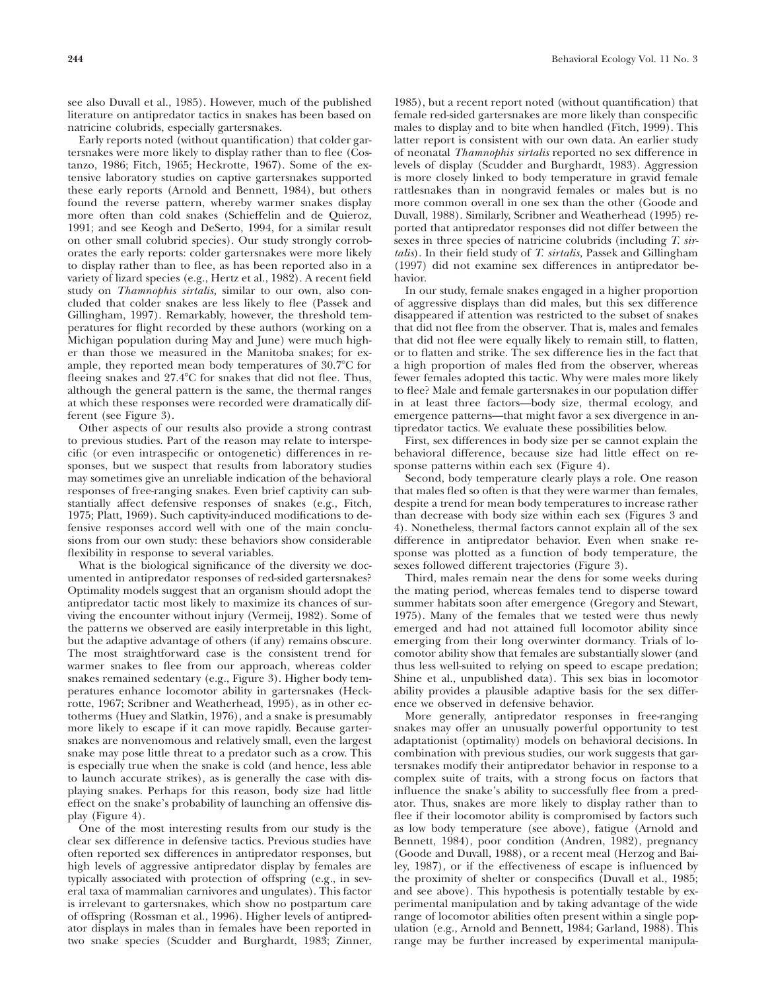see also Duvall et al., 1985). However, much of the published literature on antipredator tactics in snakes has been based on natricine colubrids, especially gartersnakes.

Early reports noted (without quantification) that colder gartersnakes were more likely to display rather than to flee (Costanzo, 1986; Fitch, 1965; Heckrotte, 1967). Some of the extensive laboratory studies on captive gartersnakes supported these early reports (Arnold and Bennett, 1984), but others found the reverse pattern, whereby warmer snakes display more often than cold snakes (Schieffelin and de Quieroz, 1991; and see Keogh and DeSerto, 1994, for a similar result on other small colubrid species). Our study strongly corroborates the early reports: colder gartersnakes were more likely to display rather than to flee, as has been reported also in a variety of lizard species (e.g., Hertz et al., 1982). A recent field study on *Thamnophis sirtalis,* similar to our own, also concluded that colder snakes are less likely to flee (Passek and Gillingham, 1997). Remarkably, however, the threshold temperatures for flight recorded by these authors (working on a Michigan population during May and June) were much higher than those we measured in the Manitoba snakes; for example, they reported mean body temperatures of 30.7°C for fleeing snakes and 27.4°C for snakes that did not flee. Thus, although the general pattern is the same, the thermal ranges at which these responses were recorded were dramatically different (see Figure 3).

Other aspects of our results also provide a strong contrast to previous studies. Part of the reason may relate to interspecific (or even intraspecific or ontogenetic) differences in responses, but we suspect that results from laboratory studies may sometimes give an unreliable indication of the behavioral responses of free-ranging snakes. Even brief captivity can substantially affect defensive responses of snakes (e.g., Fitch, 1975; Platt, 1969). Such captivity-induced modifications to defensive responses accord well with one of the main conclusions from our own study: these behaviors show considerable flexibility in response to several variables.

What is the biological significance of the diversity we documented in antipredator responses of red-sided gartersnakes? Optimality models suggest that an organism should adopt the antipredator tactic most likely to maximize its chances of surviving the encounter without injury (Vermeij, 1982). Some of the patterns we observed are easily interpretable in this light, but the adaptive advantage of others (if any) remains obscure. The most straightforward case is the consistent trend for warmer snakes to flee from our approach, whereas colder snakes remained sedentary (e.g., Figure 3). Higher body temperatures enhance locomotor ability in gartersnakes (Heckrotte, 1967; Scribner and Weatherhead, 1995), as in other ectotherms (Huey and Slatkin, 1976), and a snake is presumably more likely to escape if it can move rapidly. Because gartersnakes are nonvenomous and relatively small, even the largest snake may pose little threat to a predator such as a crow. This is especially true when the snake is cold (and hence, less able to launch accurate strikes), as is generally the case with displaying snakes. Perhaps for this reason, body size had little effect on the snake's probability of launching an offensive display (Figure 4).

One of the most interesting results from our study is the clear sex difference in defensive tactics. Previous studies have often reported sex differences in antipredator responses, but high levels of aggressive antipredator display by females are typically associated with protection of offspring (e.g., in several taxa of mammalian carnivores and ungulates). This factor is irrelevant to gartersnakes, which show no postpartum care of offspring (Rossman et al., 1996). Higher levels of antipredator displays in males than in females have been reported in two snake species (Scudder and Burghardt, 1983; Zinner, 1985), but a recent report noted (without quantification) that female red-sided gartersnakes are more likely than conspecific males to display and to bite when handled (Fitch, 1999). This latter report is consistent with our own data. An earlier study of neonatal *Thamnophis sirtalis* reported no sex difference in levels of display (Scudder and Burghardt, 1983). Aggression is more closely linked to body temperature in gravid female rattlesnakes than in nongravid females or males but is no more common overall in one sex than the other (Goode and Duvall, 1988). Similarly, Scribner and Weatherhead (1995) reported that antipredator responses did not differ between the sexes in three species of natricine colubrids (including *T. sirtalis*). In their field study of *T. sirtalis,* Passek and Gillingham (1997) did not examine sex differences in antipredator behavior.

In our study, female snakes engaged in a higher proportion of aggressive displays than did males, but this sex difference disappeared if attention was restricted to the subset of snakes that did not flee from the observer. That is, males and females that did not flee were equally likely to remain still, to flatten, or to flatten and strike. The sex difference lies in the fact that a high proportion of males fled from the observer, whereas fewer females adopted this tactic. Why were males more likely to flee? Male and female gartersnakes in our population differ in at least three factors—body size, thermal ecology, and emergence patterns—that might favor a sex divergence in antipredator tactics. We evaluate these possibilities below.

First, sex differences in body size per se cannot explain the behavioral difference, because size had little effect on response patterns within each sex (Figure 4).

Second, body temperature clearly plays a role. One reason that males fled so often is that they were warmer than females, despite a trend for mean body temperatures to increase rather than decrease with body size within each sex (Figures 3 and 4). Nonetheless, thermal factors cannot explain all of the sex difference in antipredator behavior. Even when snake response was plotted as a function of body temperature, the sexes followed different trajectories (Figure 3).

Third, males remain near the dens for some weeks during the mating period, whereas females tend to disperse toward summer habitats soon after emergence (Gregory and Stewart, 1975). Many of the females that we tested were thus newly emerged and had not attained full locomotor ability since emerging from their long overwinter dormancy. Trials of locomotor ability show that females are substantially slower (and thus less well-suited to relying on speed to escape predation; Shine et al., unpublished data). This sex bias in locomotor ability provides a plausible adaptive basis for the sex difference we observed in defensive behavior.

More generally, antipredator responses in free-ranging snakes may offer an unusually powerful opportunity to test adaptationist (optimality) models on behavioral decisions. In combination with previous studies, our work suggests that gartersnakes modify their antipredator behavior in response to a complex suite of traits, with a strong focus on factors that influence the snake's ability to successfully flee from a predator. Thus, snakes are more likely to display rather than to flee if their locomotor ability is compromised by factors such as low body temperature (see above), fatigue (Arnold and Bennett, 1984), poor condition (Andren, 1982), pregnancy (Goode and Duvall, 1988), or a recent meal (Herzog and Bailey, 1987), or if the effectiveness of escape is influenced by the proximity of shelter or conspecifics (Duvall et al., 1985; and see above). This hypothesis is potentially testable by experimental manipulation and by taking advantage of the wide range of locomotor abilities often present within a single population (e.g., Arnold and Bennett, 1984; Garland, 1988). This range may be further increased by experimental manipula